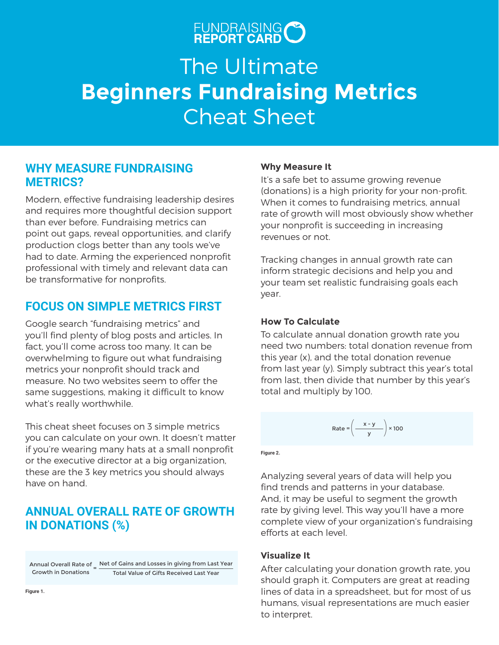# FUNDRAISING CO

# The Ultimate **Beginners Fundraising Metrics** Cheat Sheet

### **WHY MEASURE FUNDRAISING METRICS?**

Modern, effective fundraising leadership desires and requires more thoughtful decision support than ever before. Fundraising metrics can point out gaps, reveal opportunities, and clarify production clogs better than any tools we've had to date. Arming the experienced nonprofit professional with timely and relevant data can be transformative for nonprofits.

### **FOCUS ON SIMPLE METRICS FIRST**

Google search "fundraising metrics" and you'll find plenty of blog posts and articles. In fact, you'll come across too many. It can be overwhelming to figure out what fundraising metrics your nonprofit should track and measure. No two websites seem to offer the same suggestions, making it difficult to know what's really worthwhile.

This cheat sheet focuses on 3 simple metrics you can calculate on your own. It doesn't matter if you're wearing many hats at a small nonprofit or the executive director at a big organization, these are the 3 key metrics you should always have on hand.

### **ANNUAL OVERALL RATE OF GROWTH IN DONATIONS (%)**

Annual Overall Rate of  $=$   $\frac{\text{Net of Gains and Losses in giving from Last Year}}{ \text{New York: } \text{New York: } \text{New York: } \text{New York: } \text{New York: } \text{New York: } \text{New York: } \text{New York: } \text{New York: } \text{New York: } \text{New York: } \text{New York: } \text{New York: } \text{New York: } \text{New York: } \text{New York: } \text{New York: } \text{New York: } \text{New York: } \text{New York: } \text{New York: } \text{New York: } \text{New York: } \text{New York: } \text{New York:$ Growth in Donations Total Value of Gifts Received Last Year

### **Why Measure It**

It's a safe bet to assume growing revenue (donations) is a high priority for your non-profit. When it comes to fundraising metrics, annual rate of growth will most obviously show whether your nonprofit is succeeding in increasing revenues or not.

Tracking changes in annual growth rate can inform strategic decisions and help you and your team set realistic fundraising goals each year.

### **How To Calculate**

To calculate annual donation growth rate you need two numbers: total donation revenue from this year (x), and the total donation revenue from last year (y). Simply subtract this year's total from last, then divide that number by this year's total and multiply by 100.

Rate =  $\left(\frac{x-y}{y}\right) \times 100$ 

**Figure 2.**

Analyzing several years of data will help you find trends and patterns in your database. And, it may be useful to segment the growth rate by giving level. This way you'll have a more complete view of your organization's fundraising efforts at each level.

### **Visualize It**

After calculating your donation growth rate, you should graph it. Computers are great at reading lines of data in a spreadsheet, but for most of us humans, visual representations are much easier to interpret.

**Figure 1.**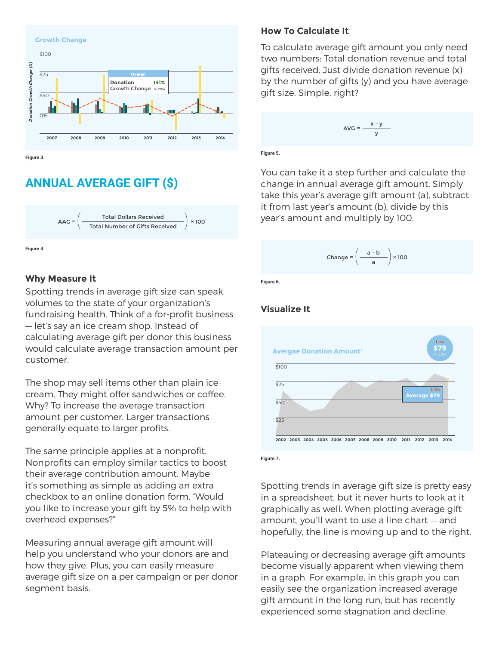

**Figure 3.**

## **ANNUAL AVERAGE GIFT (\$)**



**Figure 4.**

### **Why Measure It**

Spotting trends in average gift size can speak volumes to the state of your organization's fundraising health. Think of a for-profit business — let's say an ice cream shop. Instead of calculating average gift per donor this business would calculate average transaction amount per customer.

The shop may sell items other than plain icecream. They might offer sandwiches or coffee. Why? To increase the average transaction amount per customer. Larger transactions generally equate to larger profits.

The same principle applies at a nonprofit. Nonprofits can employ similar tactics to boost their average contribution amount. Maybe it's something as simple as adding an extra checkbox to an online donation form, "Would you like to increase your gift by 5% to help with overhead expenses?"

Measuring annual average gift amount will help you understand who your donors are and how they give. Plus, you can easily measure average gift size on a per campaign or per donor segment basis.

#### **How To Calculate It**

To calculate average gift amount you only need two numbers: Total donation revenue and total gifts received. Just divide donation revenue (x) by the number of gifts (y) and you have average gift size. Simple, right?

$$
AVG = \frac{x - y}{y}
$$

**Figure 5.**

You can take it a step further and calculate the change in annual average gift amount. Simply take this year's average gift amount (a), subtract it from last year's amount (b), divide by this year's amount and multiply by 100.

$$
Change = \left(\frac{a - b}{a}\right) \times 100
$$

**Figure 6.**

### **Visualize It**



**Figure 7.**

Spotting trends in average gift size is pretty easy in a spreadsheet, but it never hurts to look at it graphically as well. When plotting average gift amount, you'll want to use a line chart — and hopefully, the line is moving up and to the right.

Plateauing or decreasing average gift amounts become visually apparent when viewing them in a graph. For example, in this graph you can easily see the organization increased average gift amount in the long run, but has recently experienced some stagnation and decline.